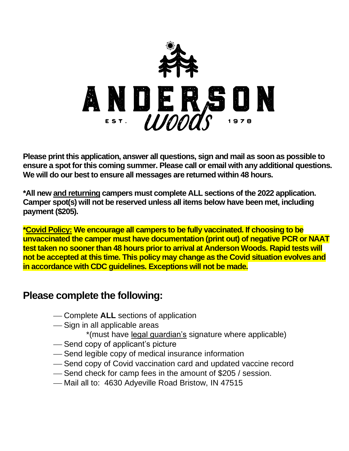

**Please print this application, answer all questions, sign and mail as soon as possible to ensure a spot for this coming summer. Please call or email with any additional questions. We will do our best to ensure all messages are returned within 48 hours.** 

**\*All new and returning campers must complete ALL sections of the 2022 application. Camper spot(s) will not be reserved unless all items below have been met, including payment (\$205).** 

**\*Covid Policy: We encourage all campers to be fully vaccinated. If choosing to be unvaccinated the camper must have documentation (print out) of negative PCR or NAAT test taken no sooner than 48 hours prior to arrival at Anderson Woods. Rapid tests will not be accepted at this time. This policy may change as the Covid situation evolves and in accordance with CDC guidelines. Exceptions will not be made.**

# **Please complete the following:**

- ⎯ Complete **ALL** sections of application
- -Sign in all applicable areas
	- \*(must have legal guardian's signature where applicable)
- -Send copy of applicant's picture
- ⎯ Send legible copy of medical insurance information
- ⎯ Send copy of Covid vaccination card and updated vaccine record
- -Send check for camp fees in the amount of \$205 / session.
- -Mail all to: 4630 Adyeville Road Bristow, IN 47515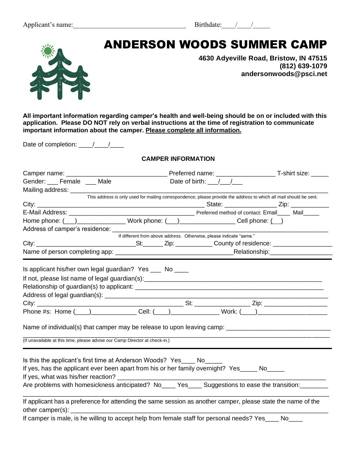

# **MAIL APPLICATION TO:**  ANDERSON WOODS SUMMER CAMP

**4630 Adyeville Road, Bristow, IN 47515 (812) 639-1079 andersonwoods@psci.net**

**All important information regarding camper's health and well-being should be on or included with this application. Please DO NOT rely on verbal instructions at the time of registration to communicate important information about the camper. Please complete all information.**

Date of completion:  $\frac{1}{2}$ 

# **CAMPER INFORMATION**

|                                                                             | This address is only used for mailing correspondence; please provide the address to which all mail should be sent.                                                                                           |           |
|-----------------------------------------------------------------------------|--------------------------------------------------------------------------------------------------------------------------------------------------------------------------------------------------------------|-----------|
|                                                                             |                                                                                                                                                                                                              |           |
|                                                                             |                                                                                                                                                                                                              |           |
|                                                                             | Home phone: ( <u>___) ____________________</u> Work phone: ( ___) _____________________ Cell phone: ( ___)                                                                                                   |           |
|                                                                             | Address of camper's residence:<br>If different from above address. Otherwise, please indicate "same."                                                                                                        |           |
|                                                                             |                                                                                                                                                                                                              |           |
|                                                                             |                                                                                                                                                                                                              |           |
|                                                                             |                                                                                                                                                                                                              |           |
|                                                                             | Phone #s: Home ( ) ______________Cell: ( ___ ) ________________Work: ( ___ ) _______________________<br>Name of individual(s) that camper may be release to upon leaving camp: _____________________________ |           |
| (If unavailable at this time, please advise our Camp Director at check-in.) |                                                                                                                                                                                                              |           |
| Is this the applicant's first time at Anderson Woods? Yes____ No_____       | If yes, has the applicant ever been apart from his or her family overnight? Yes_____ No____<br>Are problems with homesickness anticipated? No____ Yes____ Suggestions to ease the transition:_______         |           |
|                                                                             | If applicant has a preference for attending the same session as another camper, please state the name of the                                                                                                 |           |
|                                                                             | If camper is male, is he willing to accept help from female staff for personal needs? Yes_                                                                                                                   | <b>No</b> |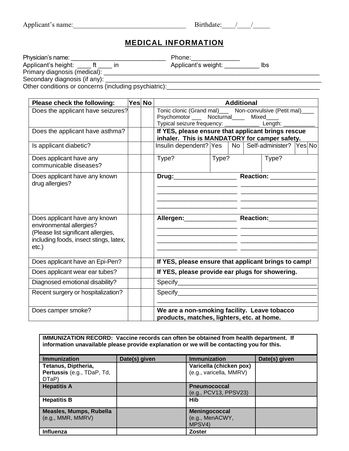# **MEDICAL INFORMATION**

| Physician's name:                                     | Phone:              |     |
|-------------------------------------------------------|---------------------|-----|
| Applicant's height:                                   | Applicant's weight: | lbs |
| Primary diagnosis (medical):                          |                     |     |
| Secondary diagnosis (if any):                         |                     |     |
| Other conditions or concerns (including psychiatric): |                     |     |

| Please check the following:            | Yes No |                                                                                            | <b>Additional</b> |  |  |       |  |
|----------------------------------------|--------|--------------------------------------------------------------------------------------------|-------------------|--|--|-------|--|
| Does the applicant have seizures?      |        | Tonic clonic (Grand mal)____ Non-convulsive (Petit mal)____                                |                   |  |  |       |  |
|                                        |        | Psychomotor ____ Nocturnal____ Mixed____                                                   |                   |  |  |       |  |
|                                        |        | Typical seizure frequency: ____________ Length: _                                          |                   |  |  |       |  |
| Does the applicant have asthma?        |        | If YES, please ensure that applicant brings rescue                                         |                   |  |  |       |  |
|                                        |        | inhaler. This is MANDATORY for camper safety.                                              |                   |  |  |       |  |
| Is applicant diabetic?                 |        | Insulin dependent? Yes   No   Self-administer? Yes No                                      |                   |  |  |       |  |
| Does applicant have any                |        | Type?                                                                                      | Type?             |  |  | Type? |  |
| communicable diseases?                 |        |                                                                                            |                   |  |  |       |  |
| Does applicant have any known          |        |                                                                                            |                   |  |  |       |  |
| drug allergies?                        |        |                                                                                            |                   |  |  |       |  |
|                                        |        |                                                                                            |                   |  |  |       |  |
|                                        |        |                                                                                            |                   |  |  |       |  |
|                                        |        |                                                                                            |                   |  |  |       |  |
| Does applicant have any known          |        | Allergen: Reaction:                                                                        |                   |  |  |       |  |
| environmental allergies?               |        |                                                                                            |                   |  |  |       |  |
| (Please list significant allergies,    |        |                                                                                            |                   |  |  |       |  |
| including foods, insect stings, latex, |        |                                                                                            |                   |  |  |       |  |
| $etc.$ )                               |        |                                                                                            |                   |  |  |       |  |
| Does applicant have an Epi-Pen?        |        | If YES, please ensure that applicant brings to camp!                                       |                   |  |  |       |  |
| Does applicant wear ear tubes?         |        | If YES, please provide ear plugs for showering.                                            |                   |  |  |       |  |
| Diagnosed emotional disability?        |        |                                                                                            |                   |  |  |       |  |
| Recent surgery or hospitalization?     |        |                                                                                            |                   |  |  |       |  |
|                                        |        |                                                                                            |                   |  |  |       |  |
| Does camper smoke?                     |        | We are a non-smoking facility. Leave tobacco<br>products, matches, lighters, etc. at home. |                   |  |  |       |  |

| <b>IMMUNIZATION RECORD:</b> Vaccine records can often be obtained from health department. If<br>information unavailable please provide explanation or we will be contacting you for this. |               |                                                    |               |  |
|-------------------------------------------------------------------------------------------------------------------------------------------------------------------------------------------|---------------|----------------------------------------------------|---------------|--|
| <b>Immunization</b>                                                                                                                                                                       | Date(s) given | <b>Immunization</b>                                | Date(s) given |  |
| Tetanus, Diptheria,<br>Pertussis (e.g., TDaP, Td,<br>DTaP)                                                                                                                                |               | Varicella (chicken pox)<br>(e.g., varicella, MMRV) |               |  |
| <b>Hepatitis A</b>                                                                                                                                                                        |               | <b>Pneumococcal</b><br>(e.g., PCV13, PPSV23)       |               |  |
| <b>Hepatitis B</b>                                                                                                                                                                        |               | Hib                                                |               |  |
| <b>Measles, Mumps, Rubella</b><br>(e.g., MMR, MMRV)                                                                                                                                       |               | Meningococcal<br>(e.g., MenACWY,<br>MPSV4)         |               |  |
| <b>Influenza</b>                                                                                                                                                                          |               | <b>Zoster</b>                                      |               |  |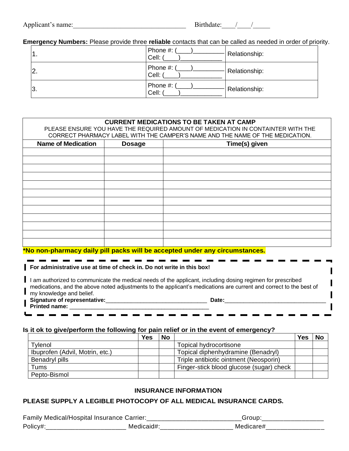| Applicant's name: |
|-------------------|
|-------------------|

# **Emergency Numbers:** Please provide three **reliable** contacts that can be called as needed in order of priority.

| $\mathbf 1$ .    | Phone #:<br>Cell:   | Relationship: |
|------------------|---------------------|---------------|
| $\overline{2}$ . | Phone #:<br>Cell: / | Relationship: |
| 3.               | Phone #:<br>Cell: ( | Relationship: |

| <b>CURRENT MEDICATIONS TO BE TAKEN AT CAMP</b>                                                                                                                   |               |                                                                                                                                                                                                                                  |  |  |
|------------------------------------------------------------------------------------------------------------------------------------------------------------------|---------------|----------------------------------------------------------------------------------------------------------------------------------------------------------------------------------------------------------------------------------|--|--|
| PLEASE ENSURE YOU HAVE THE REQUIRED AMOUNT OF MEDICATION IN CONTAINTER WITH THE<br>CORRECT PHARMACY LABEL WITH THE CAMPER'S NAME AND THE NAME OF THE MEDICATION. |               |                                                                                                                                                                                                                                  |  |  |
|                                                                                                                                                                  |               |                                                                                                                                                                                                                                  |  |  |
| <b>Name of Medication</b>                                                                                                                                        | <b>Dosage</b> | Time(s) given                                                                                                                                                                                                                    |  |  |
|                                                                                                                                                                  |               |                                                                                                                                                                                                                                  |  |  |
|                                                                                                                                                                  |               |                                                                                                                                                                                                                                  |  |  |
|                                                                                                                                                                  |               |                                                                                                                                                                                                                                  |  |  |
|                                                                                                                                                                  |               |                                                                                                                                                                                                                                  |  |  |
|                                                                                                                                                                  |               |                                                                                                                                                                                                                                  |  |  |
|                                                                                                                                                                  |               |                                                                                                                                                                                                                                  |  |  |
|                                                                                                                                                                  |               |                                                                                                                                                                                                                                  |  |  |
|                                                                                                                                                                  |               |                                                                                                                                                                                                                                  |  |  |
|                                                                                                                                                                  |               |                                                                                                                                                                                                                                  |  |  |
|                                                                                                                                                                  |               |                                                                                                                                                                                                                                  |  |  |
|                                                                                                                                                                  |               |                                                                                                                                                                                                                                  |  |  |
|                                                                                                                                                                  |               |                                                                                                                                                                                                                                  |  |  |
|                                                                                                                                                                  |               | *No non-pharmacy daily pill packs will be accepted under any circumstances.                                                                                                                                                      |  |  |
|                                                                                                                                                                  |               |                                                                                                                                                                                                                                  |  |  |
| For administrative use at time of check in. Do not write in this box!                                                                                            |               |                                                                                                                                                                                                                                  |  |  |
|                                                                                                                                                                  |               | I am authorized to communicate the medical needs of the applicant, including dosing regimen for prescribed<br>medications, and the above noted adjustments to the applicant's medications are current and correct to the best of |  |  |

my knowledge and belief.

**Signature of representative:**\_\_\_\_\_\_\_\_\_\_\_\_\_\_\_\_\_\_\_\_\_\_\_\_\_\_\_\_\_\_\_\_ **Date:**\_\_\_\_\_\_\_\_\_\_\_\_\_\_\_\_\_\_\_\_\_\_\_\_\_\_\_\_\_\_\_\_

**Printed name:** \_\_\_\_\_\_\_\_\_\_\_\_\_\_\_\_\_\_\_\_\_\_\_\_\_\_\_\_\_\_\_\_\_\_\_\_\_\_\_\_\_\_\_\_

I

## **Is it ok to give/perform the following for pain relief or in the event of emergency?**

|                                 | Yes | <b>No</b> |                                          | Yes | <b>No</b> |
|---------------------------------|-----|-----------|------------------------------------------|-----|-----------|
| Tylenol                         |     |           | Topical hydrocortisone                   |     |           |
| Ibuprofen (Advil, Motrin, etc.) |     |           | Topical diphenhydramine (Benadryl)       |     |           |
| Benadryl pills                  |     |           | Triple antibiotic ointment (Neosporin)   |     |           |
| Tums                            |     |           | Finger-stick blood glucose (sugar) check |     |           |
| Pepto-Bismol                    |     |           |                                          |     |           |

- - - - - - -

# **INSURANCE INFORMATION**

# **PLEASE SUPPLY A LEGIBLE PHOTOCOPY OF ALL MEDICAL INSURANCE CARDS.**

| Fami<br>l /l<br>$\cdots$<br>Medical/<br>,,,,,,,,,,,<br>$   -$<br>сe. | arrier: |  |
|----------------------------------------------------------------------|---------|--|
| Policy#                                                              | A/F     |  |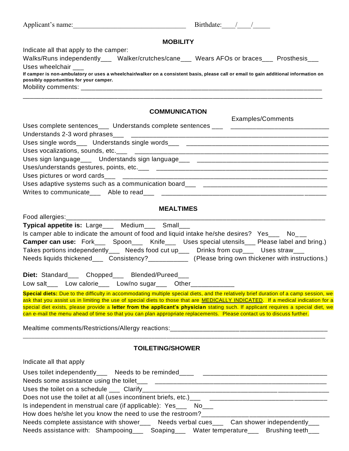| Applicant's name:<br>$+$ $+$ $+$ |  |
|----------------------------------|--|
|                                  |  |

# **MOBILITY**

Indicate all that apply to the camper:

Food allergies:

| Walks/Runs independently___                                                                                                           | Walker/crutches/cane | Wears AFOs or braces | Prosthesis |
|---------------------------------------------------------------------------------------------------------------------------------------|----------------------|----------------------|------------|
| Uses wheelchair                                                                                                                       |                      |                      |            |
| If camper is non-ambulatory or uses a wheelchair/walker on a consistent basis, please call or email to gain additional information on |                      |                      |            |
| possibly opportunities for your camper.                                                                                               |                      |                      |            |
| Mobility comments:                                                                                                                    |                      |                      |            |

\_\_\_\_\_\_\_\_\_\_\_\_\_\_\_\_\_\_\_\_\_\_\_\_\_\_\_\_\_\_\_\_\_\_\_\_\_\_\_\_\_\_\_\_\_\_\_\_\_\_\_\_\_\_\_\_\_\_\_\_\_\_\_\_\_\_\_\_\_\_\_\_\_\_\_\_\_\_\_\_\_\_

# **COMMUNICATION**

|                                                                                                      | Examples/Comments |
|------------------------------------------------------------------------------------------------------|-------------------|
| Uses complete sentences___ Understands complete sentences ___ _________________________              |                   |
|                                                                                                      |                   |
| Uses single words___ Understands single words___ _______________________________                     |                   |
|                                                                                                      |                   |
| Uses sign language___ Understands sign language___ _____________________________                     |                   |
|                                                                                                      |                   |
|                                                                                                      |                   |
| Uses adaptive systems such as a communication board___ details and the manu-tend of the systems such |                   |
|                                                                                                      |                   |

#### **MEALTIMES**

| Typical appetite is: Large___ Medium___ Small___                                                                                                                                                                                                                          |
|---------------------------------------------------------------------------------------------------------------------------------------------------------------------------------------------------------------------------------------------------------------------------|
| Is camper able to indicate the amount of food and liquid intake he/she desires? Yes___ No__                                                                                                                                                                               |
| <b>Camper can use:</b> Fork____ Spoon____ Knife___ Uses special utensils___ Please label and bring.)                                                                                                                                                                      |
| Takes portions independently___ Needs food cut up___ Drinks from cup___ Uses straw___                                                                                                                                                                                     |
| Needs liquids thickened___ Consistency?___________ (Please bring own thickener with instructions.)                                                                                                                                                                        |
| Diet: Standard___ Chopped___ Blended/Pureed___<br>Low salt___ Low calorie___ Low/no sugar___ Other____________                                                                                                                                                            |
| Special diets: Due to the difficulty in accommodating multiple special diets, and the relatively brief duration of a camp session, we<br>ask that you assist us in limiting the use of special diets to those that are MEDICALLY INDICATED. If a medical indication for a |
| special diet exists, please provide a letter from the applicant's physician stating such. If applicant requires a special diet, we<br>can e-mail the menu ahead of time so that you can plan appropriate replacements. Please contact us to discuss further.              |
|                                                                                                                                                                                                                                                                           |
| <b>TOILETING/SHOWER</b>                                                                                                                                                                                                                                                   |
| Indicate all that apply                                                                                                                                                                                                                                                   |
|                                                                                                                                                                                                                                                                           |
|                                                                                                                                                                                                                                                                           |
|                                                                                                                                                                                                                                                                           |
|                                                                                                                                                                                                                                                                           |
| Is independent in menstrual care (if applicable): Yes___ No___                                                                                                                                                                                                            |
| How does he/she let you know the need to use the restroom?_____________________________                                                                                                                                                                                   |
| Needs complete assistance with shower___ Needs verbal cues___ Can shower independently___                                                                                                                                                                                 |

Needs assistance with: Shampooing\_\_\_ Soaping\_\_\_ Water temperature\_\_\_ Brushing teeth\_\_\_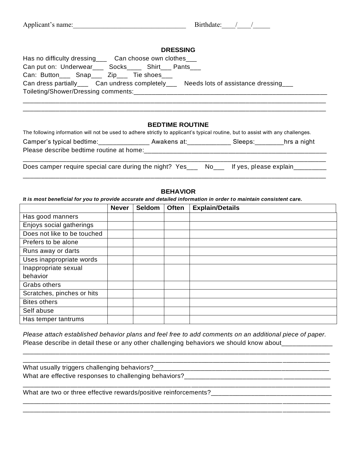| Applicant's name:<br>sirthdate <sup>.</sup> |  |
|---------------------------------------------|--|
|---------------------------------------------|--|

| <b>DRESSING</b>                                                                           |
|-------------------------------------------------------------------------------------------|
| Has no difficulty dressing _____ Can choose own clothes                                   |
| Can put on: Underwear___ Socks____ Shirt___ Pants___                                      |
| Can: Button ____ Snap ____ Zip ___ Tie shoes ___                                          |
| Can dress partially_____ Can undress completely_____ Needs lots of assistance dressing___ |
|                                                                                           |
|                                                                                           |

#### **BEDTIME ROUTINE**

\_\_\_\_\_\_\_\_\_\_\_\_\_\_\_\_\_\_\_\_\_\_\_\_\_\_\_\_\_\_\_\_\_\_\_\_\_\_\_\_\_\_\_\_\_\_\_\_\_\_\_\_\_\_\_\_\_\_\_\_\_\_\_\_\_\_\_\_\_\_\_\_\_\_\_\_\_\_\_\_\_\_\_

| The following information will not be used to adhere strictly to applicant's typical routine, but to assist with any challenges. |             |         |             |
|----------------------------------------------------------------------------------------------------------------------------------|-------------|---------|-------------|
| Camper's typical bedtime:                                                                                                        | Awakens at: | Sleeps: | hrs a night |
| Please describe bedtime routine at home:                                                                                         |             |         |             |

\_\_\_\_\_\_\_\_\_\_\_\_\_\_\_\_\_\_\_\_\_\_\_\_\_\_\_\_\_\_\_\_\_\_\_\_\_\_\_\_\_\_\_\_\_\_\_\_\_\_\_\_\_\_\_\_\_\_\_\_\_\_\_\_\_\_\_\_\_\_\_\_\_\_\_\_\_\_\_\_\_\_\_ Does camper require special care during the night? Yes\_\_\_ No\_\_\_ If yes, please explain\_\_\_\_\_\_\_ \_\_\_\_\_\_\_\_\_\_\_\_\_\_\_\_\_\_\_\_\_\_\_\_\_\_\_\_\_\_\_\_\_\_\_\_\_\_\_\_\_\_\_\_\_\_\_\_\_\_\_\_\_\_\_\_\_\_\_\_\_\_\_\_\_\_\_\_\_\_\_\_\_\_\_\_\_\_\_\_\_\_\_

#### **BEHAVIOR**

*It is most beneficial for you to provide accurate and detailed information in order to maintain consistent care.*

|                             | <b>Never</b> | Seldom | <b>Often</b> | <b>Explain/Details</b> |
|-----------------------------|--------------|--------|--------------|------------------------|
| Has good manners            |              |        |              |                        |
| Enjoys social gatherings    |              |        |              |                        |
| Does not like to be touched |              |        |              |                        |
| Prefers to be alone         |              |        |              |                        |
| Runs away or darts          |              |        |              |                        |
| Uses inappropriate words    |              |        |              |                        |
| Inappropriate sexual        |              |        |              |                        |
| behavior                    |              |        |              |                        |
| Grabs others                |              |        |              |                        |
| Scratches, pinches or hits  |              |        |              |                        |
| <b>Bites others</b>         |              |        |              |                        |
| Self abuse                  |              |        |              |                        |
| Has temper tantrums         |              |        |              |                        |

*Please attach established behavior plans and feel free to add comments on an additional piece of paper.* Please describe in detail these or any other challenging behaviors we should know about\_\_\_\_\_\_\_\_\_

\_\_\_\_\_\_\_\_\_\_\_\_\_\_\_\_\_\_\_\_\_\_\_\_\_\_\_\_\_\_\_\_\_\_\_\_\_\_\_\_\_\_\_\_\_\_\_\_\_\_\_\_\_\_\_\_\_\_\_\_\_\_\_\_\_\_\_\_\_\_\_\_\_\_\_\_\_\_\_\_\_\_\_\_

\_\_\_\_\_\_\_\_\_\_\_\_\_\_\_\_\_\_\_\_\_\_\_\_\_\_\_\_\_\_\_\_\_\_\_\_\_\_\_\_\_\_\_\_\_\_\_\_\_\_\_\_\_\_\_\_\_\_\_\_\_\_\_\_\_\_\_\_\_\_\_\_\_\_\_\_\_\_\_\_\_\_\_\_

What usually triggers challenging behaviors?\_\_\_\_\_\_\_\_\_\_\_\_\_\_\_\_\_\_\_\_\_\_\_\_\_\_\_\_\_\_\_\_\_\_\_\_\_\_\_\_\_\_\_\_\_\_\_\_ What are effective responses to challenging behaviors?<br>

\_\_\_\_\_\_\_\_\_\_\_\_\_\_\_\_\_\_\_\_\_\_\_\_\_\_\_\_\_\_\_\_\_\_\_\_\_\_\_\_\_\_\_\_\_\_\_\_\_\_\_\_\_\_\_\_\_\_\_\_\_\_\_\_\_\_\_\_\_\_\_\_\_\_\_\_\_\_\_\_\_\_\_\_ \_\_\_\_\_\_\_\_\_\_\_\_\_\_\_\_\_\_\_\_\_\_\_\_\_\_\_\_\_\_\_\_\_\_\_\_\_\_\_\_\_\_\_\_\_\_\_\_\_\_\_\_\_\_\_\_\_\_\_\_\_\_\_\_\_\_\_\_\_\_\_\_\_\_\_\_\_\_\_\_\_\_\_\_

What are two or three effective rewards/positive reinforcements?\_\_\_\_\_\_\_\_\_\_\_\_\_\_\_\_\_\_\_\_\_\_\_\_\_\_\_\_\_\_\_\_\_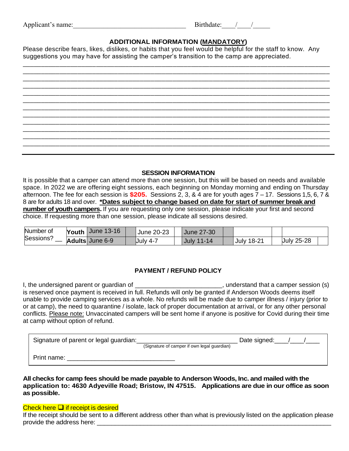| Applicant's name: |  |  |
|-------------------|--|--|
|                   |  |  |

# **ADDITIONAL INFORMATION (MANDATORY)**

Please describe fears, likes, dislikes, or habits that you feel would be helpful for the staff to know. Any suggestions you may have for assisting the camper's transition to the camp are appreciated.

| __________ |             |
|------------|-------------|
|            |             |
|            |             |
|            |             |
|            |             |
|            |             |
|            |             |
|            |             |
|            | ___________ |
|            |             |

#### **SESSION INFORMATION**

It is possible that a camper can attend more than one session, but this will be based on needs and available space. In 2022 we are offering eight sessions, each beginning on Monday morning and ending on Thursday afternoon. The fee for each session is **\$205.** Sessions 2, 3, & 4 are for youth ages 7 – 17. Sessions 1,5, 6, 7 & 8 are for adults 18 and over. **\*Dates subject to change based on date for start of summer break and number of youth campers.** If you are requesting only one session, please indicate your first and second choice. If requesting more than one session, please indicate all sessions desired.

| Number of | Youth $\vert$ June 13-16 | <b>June 20-23</b> | June 27-30         |            |                   |  |
|-----------|--------------------------|-------------------|--------------------|------------|-------------------|--|
| Sessions? | Adults June 6-9          | July 4-7          | $11 - 14$<br>July. | July 18-21 | <b>July 25-28</b> |  |

# **PAYMENT / REFUND POLICY**

I, the undersigned parent or guardian of \_\_\_\_\_\_\_\_\_\_\_\_\_\_\_\_\_\_\_\_\_\_\_\_\_\_\_, understand that a camper session (s) is reserved once payment is received in full. Refunds will only be granted if Anderson Woods deems itself unable to provide camping services as a whole. No refunds will be made due to camper illness / injury (prior to or at camp), the need to quarantine / isolate, lack of proper documentation at arrival, or for any other personal conflicts. Please note: Unvaccinated campers will be sent home if anyone is positive for Covid during their time at camp without option of refund.

| Signature of parent or legal guardian: | (Signature of camper if own legal guardian) | Date signed: |  |
|----------------------------------------|---------------------------------------------|--------------|--|
| Print name:                            |                                             |              |  |

**All checks for camp fees should be made payable to Anderson Woods, Inc. and mailed with the application to: 4630 Adyeville Road; Bristow, IN 47515. Applications are due in our office as soon as possible.** 

#### Check here ❑ if receipt is desired

If the receipt should be sent to a different address other than what is previously listed on the application please provide the address here: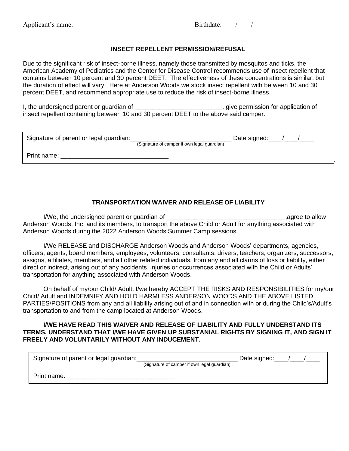## **INSECT REPELLENT PERMISSION/REFUSAL**

Due to the significant risk of insect-borne illness, namely those transmitted by mosquitos and ticks, the American Academy of Pediatrics and the Center for Disease Control recommends use of insect repellent that contains between 10 percent and 30 percent DEET. The effectiveness of these concentrations is similar, but the duration of effect will vary. Here at Anderson Woods we stock insect repellent with between 10 and 30 percent DEET, and recommend appropriate use to reduce the risk of insect-borne illness.

I, the undersigned parent or guardian of \_\_\_\_\_\_\_\_\_\_\_\_\_\_\_\_\_\_\_\_\_\_\_\_\_\_\_\_, give permission for application of insect repellent containing between 10 and 30 percent DEET to the above said camper.

| Signature of parent or legal guardian: | (Signature of camper if own legal guardian) | Date signed: |  |
|----------------------------------------|---------------------------------------------|--------------|--|
|                                        |                                             |              |  |
| Print name:                            |                                             |              |  |

# **TRANSPORTATION WAIVER AND RELEASE OF LIABILITY**

I/We, the undersigned parent or guardian of \_\_\_\_\_\_\_\_\_\_\_\_\_\_\_\_\_\_\_\_\_\_\_\_\_\_\_\_\_\_\_\_\_\_,agree to allow Anderson Woods, Inc. and its members, to transport the above Child or Adult for anything associated with Anderson Woods during the 2022 Anderson Woods Summer Camp sessions.

I/We RELEASE and DISCHARGE Anderson Woods and Anderson Woods' departments, agencies, officers, agents, board members, employees, volunteers, consultants, drivers, teachers, organizers, successors, assigns, affiliates, members, and all other related individuals, from any and all claims of loss or liability, either direct or indirect, arising out of any accidents, injuries or occurrences associated with the Child or Adults' transportation for anything associated with Anderson Woods.

On behalf of my/our Child/ Adult, I/we hereby ACCEPT THE RISKS AND RESPONSIBILITIES for my/our Child/ Adult and INDEMNIFY AND HOLD HARMLESS ANDERSON WOODS AND THE ABOVE LISTED PARTIES/POSITIONS from any and all liability arising out of and in connection with or during the Child's/Adult's transportation to and from the camp located at Anderson Woods.

#### **I/WE HAVE READ THIS WAIVER AND RELEASE OF LIABILITY AND FULLY UNDERSTAND ITS TERMS, UNDERSTAND THAT I/WE HAVE GIVEN UP SUBSTANIAL RIGHTS BY SIGNING IT, AND SIGN IT FREELY AND VOLUNTARILY WITHOUT ANY INDUCEMENT.**

| Signature of parent or legal guardian: | (Signature of camper if own legal guardian) | Date signed: |  |
|----------------------------------------|---------------------------------------------|--------------|--|
| Print name:                            |                                             |              |  |